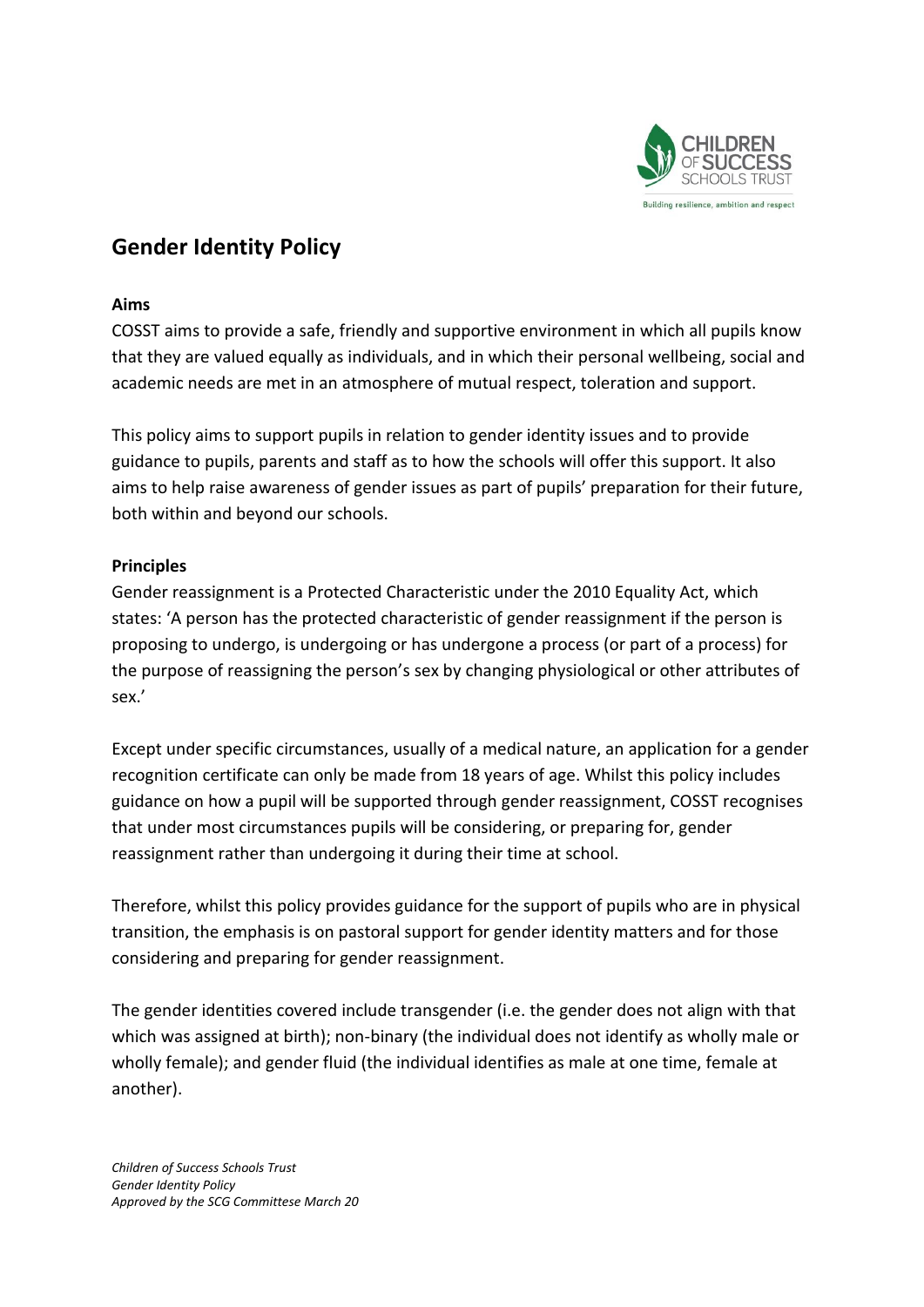

# **Gender Identity Policy**

#### **Aims**

COSST aims to provide a safe, friendly and supportive environment in which all pupils know that they are valued equally as individuals, and in which their personal wellbeing, social and academic needs are met in an atmosphere of mutual respect, toleration and support.

This policy aims to support pupils in relation to gender identity issues and to provide guidance to pupils, parents and staff as to how the schools will offer this support. It also aims to help raise awareness of gender issues as part of pupils' preparation for their future, both within and beyond our schools.

### **Principles**

Gender reassignment is a Protected Characteristic under the 2010 Equality Act, which states: 'A person has the protected characteristic of gender reassignment if the person is proposing to undergo, is undergoing or has undergone a process (or part of a process) for the purpose of reassigning the person's sex by changing physiological or other attributes of sex.'

Except under specific circumstances, usually of a medical nature, an application for a gender recognition certificate can only be made from 18 years of age. Whilst this policy includes guidance on how a pupil will be supported through gender reassignment, COSST recognises that under most circumstances pupils will be considering, or preparing for, gender reassignment rather than undergoing it during their time at school.

Therefore, whilst this policy provides guidance for the support of pupils who are in physical transition, the emphasis is on pastoral support for gender identity matters and for those considering and preparing for gender reassignment.

The gender identities covered include transgender (i.e. the gender does not align with that which was assigned at birth); non-binary (the individual does not identify as wholly male or wholly female); and gender fluid (the individual identifies as male at one time, female at another).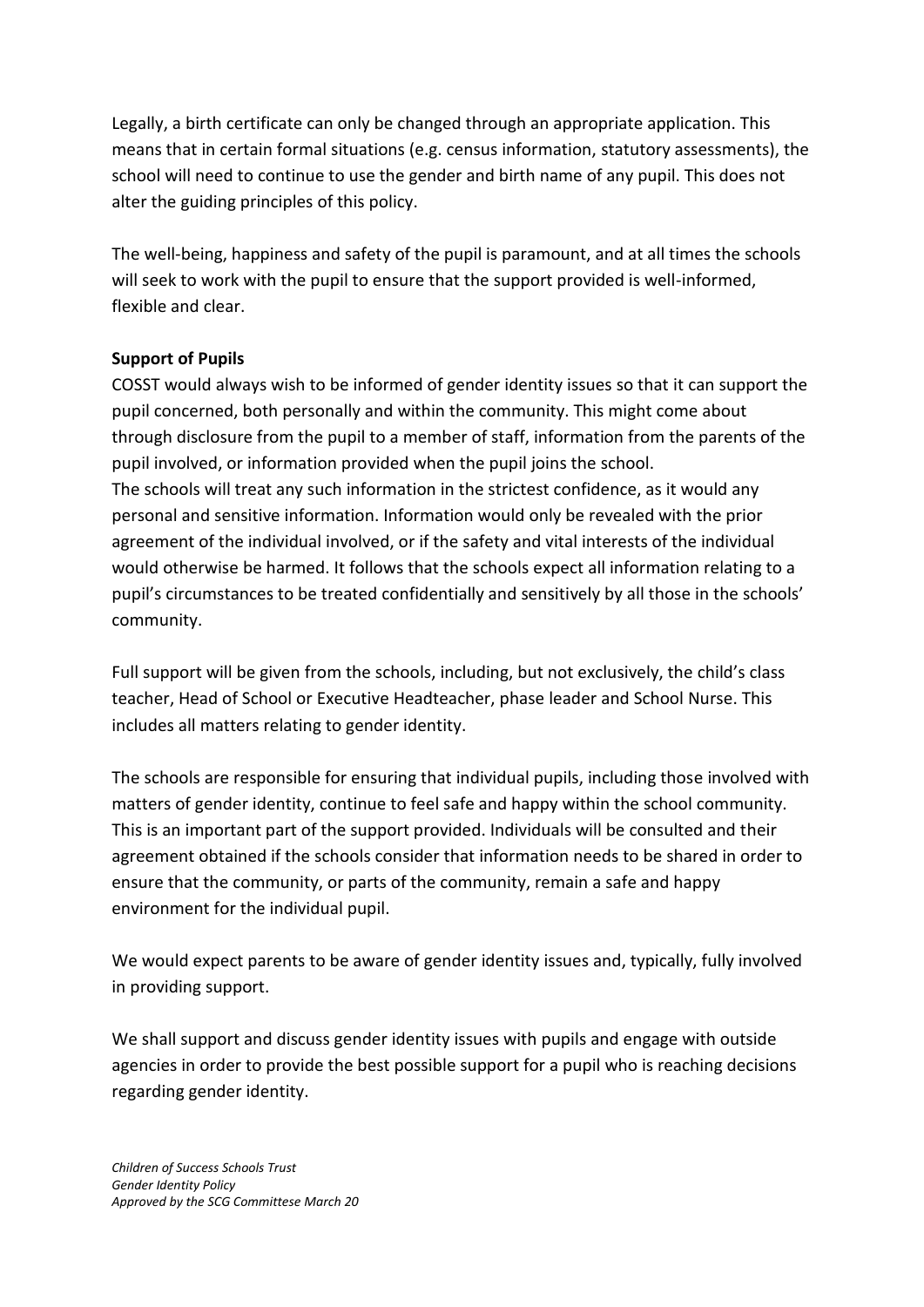Legally, a birth certificate can only be changed through an appropriate application. This means that in certain formal situations (e.g. census information, statutory assessments), the school will need to continue to use the gender and birth name of any pupil. This does not alter the guiding principles of this policy.

The well-being, happiness and safety of the pupil is paramount, and at all times the schools will seek to work with the pupil to ensure that the support provided is well-informed, flexible and clear.

# **Support of Pupils**

COSST would always wish to be informed of gender identity issues so that it can support the pupil concerned, both personally and within the community. This might come about through disclosure from the pupil to a member of staff, information from the parents of the pupil involved, or information provided when the pupil joins the school. The schools will treat any such information in the strictest confidence, as it would any personal and sensitive information. Information would only be revealed with the prior agreement of the individual involved, or if the safety and vital interests of the individual would otherwise be harmed. It follows that the schools expect all information relating to a pupil's circumstances to be treated confidentially and sensitively by all those in the schools' community.

Full support will be given from the schools, including, but not exclusively, the child's class teacher, Head of School or Executive Headteacher, phase leader and School Nurse. This includes all matters relating to gender identity.

The schools are responsible for ensuring that individual pupils, including those involved with matters of gender identity, continue to feel safe and happy within the school community. This is an important part of the support provided. Individuals will be consulted and their agreement obtained if the schools consider that information needs to be shared in order to ensure that the community, or parts of the community, remain a safe and happy environment for the individual pupil.

We would expect parents to be aware of gender identity issues and, typically, fully involved in providing support.

We shall support and discuss gender identity issues with pupils and engage with outside agencies in order to provide the best possible support for a pupil who is reaching decisions regarding gender identity.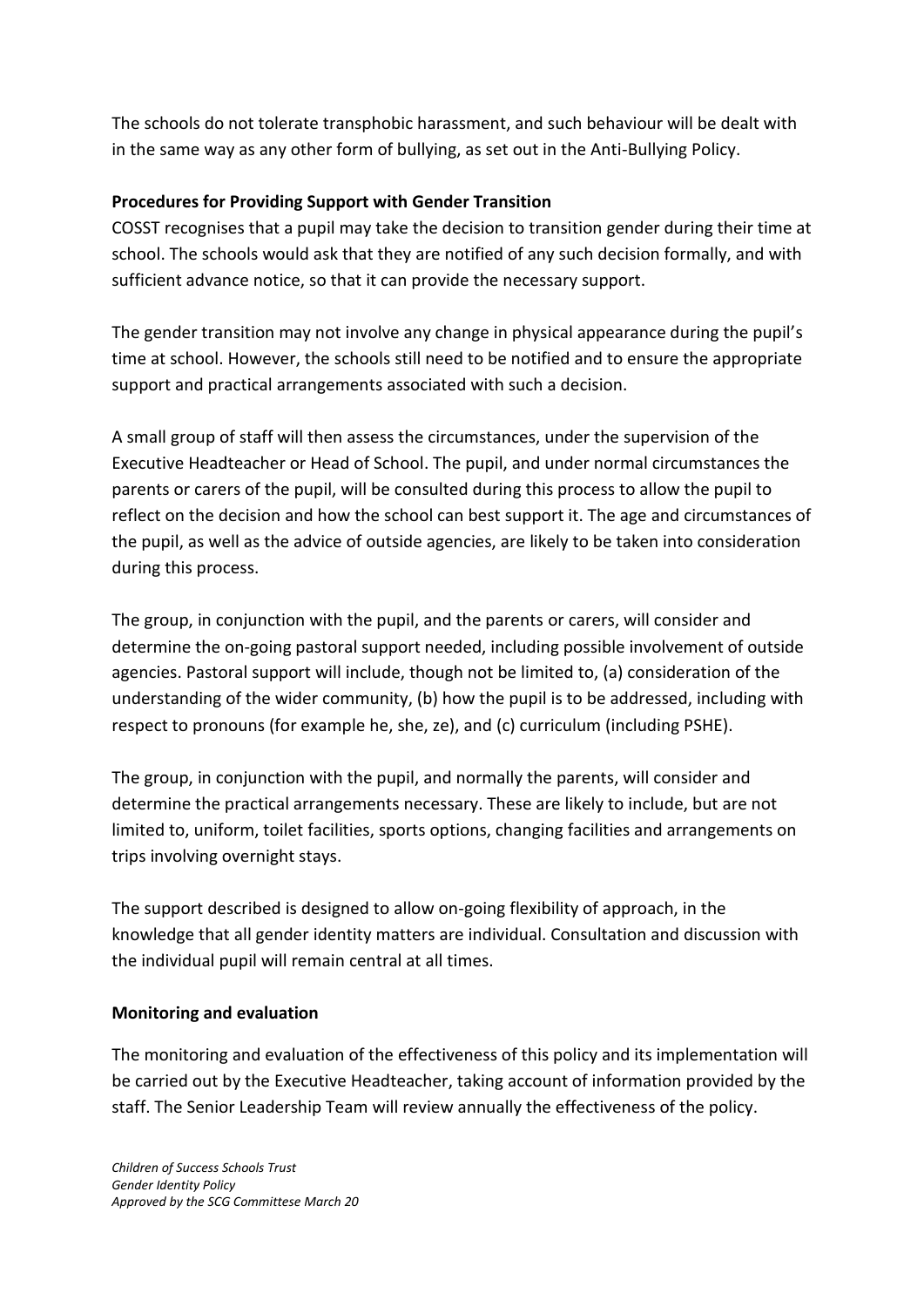The schools do not tolerate transphobic harassment, and such behaviour will be dealt with in the same way as any other form of bullying, as set out in the Anti-Bullying Policy.

# **Procedures for Providing Support with Gender Transition**

COSST recognises that a pupil may take the decision to transition gender during their time at school. The schools would ask that they are notified of any such decision formally, and with sufficient advance notice, so that it can provide the necessary support.

The gender transition may not involve any change in physical appearance during the pupil's time at school. However, the schools still need to be notified and to ensure the appropriate support and practical arrangements associated with such a decision.

A small group of staff will then assess the circumstances, under the supervision of the Executive Headteacher or Head of School. The pupil, and under normal circumstances the parents or carers of the pupil, will be consulted during this process to allow the pupil to reflect on the decision and how the school can best support it. The age and circumstances of the pupil, as well as the advice of outside agencies, are likely to be taken into consideration during this process.

The group, in conjunction with the pupil, and the parents or carers, will consider and determine the on-going pastoral support needed, including possible involvement of outside agencies. Pastoral support will include, though not be limited to, (a) consideration of the understanding of the wider community, (b) how the pupil is to be addressed, including with respect to pronouns (for example he, she, ze), and (c) curriculum (including PSHE).

The group, in conjunction with the pupil, and normally the parents, will consider and determine the practical arrangements necessary. These are likely to include, but are not limited to, uniform, toilet facilities, sports options, changing facilities and arrangements on trips involving overnight stays.

The support described is designed to allow on-going flexibility of approach, in the knowledge that all gender identity matters are individual. Consultation and discussion with the individual pupil will remain central at all times.

### **Monitoring and evaluation**

The monitoring and evaluation of the effectiveness of this policy and its implementation will be carried out by the Executive Headteacher, taking account of information provided by the staff. The Senior Leadership Team will review annually the effectiveness of the policy.